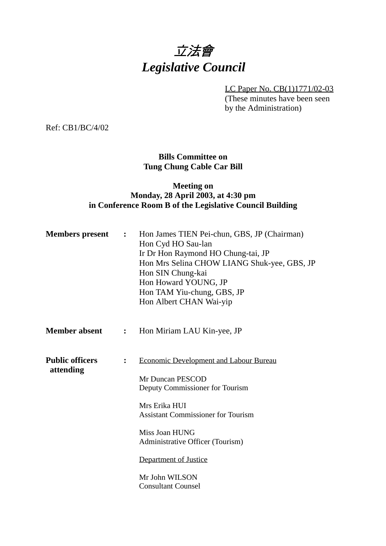# 立法會 *Legislative Council*

LC Paper No. CB(1)1771/02-03

(These minutes have been seen by the Administration)

Ref: CB1/BC/4/02

### **Bills Committee on Tung Chung Cable Car Bill**

### **Meeting on Monday, 28 April 2003, at 4:30 pm in Conference Room B of the Legislative Council Building**

| <b>Members</b> present              | $\ddot{\cdot}$ | Hon James TIEN Pei-chun, GBS, JP (Chairman)<br>Hon Cyd HO Sau-lan<br>Ir Dr Hon Raymond HO Chung-tai, JP<br>Hon Mrs Selina CHOW LIANG Shuk-yee, GBS, JP<br>Hon SIN Chung-kai<br>Hon Howard YOUNG, JP<br>Hon TAM Yiu-chung, GBS, JP<br>Hon Albert CHAN Wai-yip                                     |
|-------------------------------------|----------------|--------------------------------------------------------------------------------------------------------------------------------------------------------------------------------------------------------------------------------------------------------------------------------------------------|
| <b>Member absent</b>                | $\ddot{\cdot}$ | Hon Miriam LAU Kin-yee, JP                                                                                                                                                                                                                                                                       |
| <b>Public officers</b><br>attending | $\ddot{\cdot}$ | <b>Economic Development and Labour Bureau</b><br>Mr Duncan PESCOD<br>Deputy Commissioner for Tourism<br>Mrs Erika HUI<br><b>Assistant Commissioner for Tourism</b><br>Miss Joan HUNG<br>Administrative Officer (Tourism)<br>Department of Justice<br>Mr John WILSON<br><b>Consultant Counsel</b> |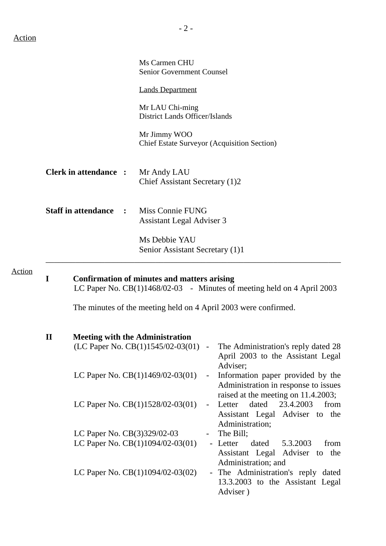Action

|                                            |                              | Ms Carmen CHU<br><b>Senior Government Counsel</b>                           |                                                                                                                                                    |  |  |  |
|--------------------------------------------|------------------------------|-----------------------------------------------------------------------------|----------------------------------------------------------------------------------------------------------------------------------------------------|--|--|--|
|                                            |                              | <b>Lands Department</b>                                                     |                                                                                                                                                    |  |  |  |
|                                            |                              | Mr LAU Chi-ming<br><b>District Lands Officer/Islands</b>                    |                                                                                                                                                    |  |  |  |
|                                            |                              | Mr Jimmy WOO                                                                | <b>Chief Estate Surveyor (Acquisition Section)</b>                                                                                                 |  |  |  |
|                                            | <b>Clerk in attendance :</b> | Mr Andy LAU<br>Chief Assistant Secretary (1)2                               |                                                                                                                                                    |  |  |  |
| <b>Staff in attendance</b><br>$\mathbf{r}$ |                              | Miss Connie FUNG<br>Assistant Legal Adviser 3                               |                                                                                                                                                    |  |  |  |
|                                            |                              | Ms Debbie YAU<br>Senior Assistant Secretary (1)1                            |                                                                                                                                                    |  |  |  |
| T                                          |                              | <b>Confirmation of minutes and matters arising</b>                          | LC Paper No. $CB(1)1468/02-03$ - Minutes of meeting held on 4 April 2003                                                                           |  |  |  |
|                                            |                              |                                                                             | The minutes of the meeting held on 4 April 2003 were confirmed.                                                                                    |  |  |  |
| П                                          |                              | <b>Meeting with the Administration</b><br>(LC Paper No. CB(1)1545/02-03(01) | The Administration's reply dated 28<br>April 2003 to the Assistant Legal                                                                           |  |  |  |
|                                            |                              | LC Paper No. CB(1)1469/02-03(01)                                            | Adviser;<br>Information paper provided by the<br>Administration in response to issues                                                              |  |  |  |
|                                            |                              | LC Paper No. CB(1)1528/02-03(01)                                            | raised at the meeting on 11.4.2003;<br>23.4.2003<br>dated<br>Letter<br>from<br>$\blacksquare$<br>Assistant Legal Adviser to the<br>Administration; |  |  |  |
|                                            | LC Paper No. CB(3)329/02-03  | LC Paper No. $CB(1)1094/02-03(01)$                                          | The Bill;<br>- Letter<br>dated<br>5.3.2003<br>from<br>Assistant Legal<br>Adviser<br>the<br>to                                                      |  |  |  |

Administration; and LC Paper No. CB(1)1094/02-03(02) - The Administration's reply dated 13.3.2003 to the Assistant Legal Adviser )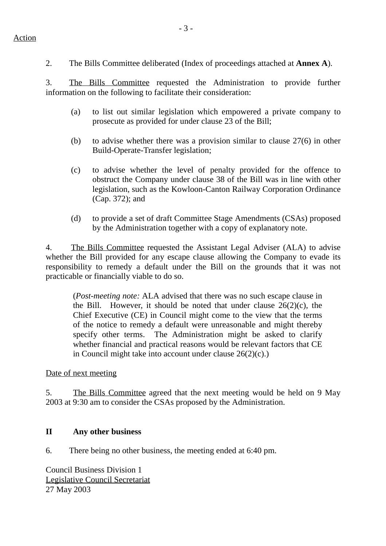2. The Bills Committee deliberated (Index of proceedings attached at **Annex A**).

3. The Bills Committee requested the Administration to provide further information on the following to facilitate their consideration:

- (a) to list out similar legislation which empowered a private company to prosecute as provided for under clause 23 of the Bill;
- (b) to advise whether there was a provision similar to clause 27(6) in other Build-Operate-Transfer legislation;
- (c) to advise whether the level of penalty provided for the offence to obstruct the Company under clause 38 of the Bill was in line with other legislation, such as the Kowloon-Canton Railway Corporation Ordinance (Cap. 372); and
- (d) to provide a set of draft Committee Stage Amendments (CSAs) proposed by the Administration together with a copy of explanatory note.

4. The Bills Committee requested the Assistant Legal Adviser (ALA) to advise whether the Bill provided for any escape clause allowing the Company to evade its responsibility to remedy a default under the Bill on the grounds that it was not practicable or financially viable to do so.

(*Post-meeting note:* ALA advised that there was no such escape clause in the Bill. However, it should be noted that under clause  $26(2)(c)$ , the Chief Executive (CE) in Council might come to the view that the terms of the notice to remedy a default were unreasonable and might thereby specify other terms. The Administration might be asked to clarify whether financial and practical reasons would be relevant factors that CE in Council might take into account under clause 26(2)(c).)

#### Date of next meeting

5. The Bills Committee agreed that the next meeting would be held on 9 May 2003 at 9:30 am to consider the CSAs proposed by the Administration.

#### **II Any other business**

6. There being no other business, the meeting ended at 6:40 pm.

Council Business Division 1 Legislative Council Secretariat 27 May 2003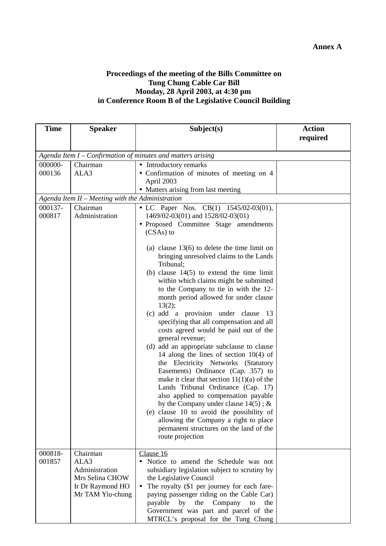## **Annex A**

#### **Proceedings of the meeting of the Bills Committee on Tung Chung Cable Car Bill Monday, 28 April 2003, at 4:30 pm in Conference Room B of the Legislative Council Building**

| required<br>Agenda Item $I$ – Confirmation of minutes and matters arising<br>000000-<br>• Introductory remarks<br>Chairman<br>000136<br>ALA3<br>• Confirmation of minutes of meeting on 4<br>April 2003<br>• Matters arising from last meeting<br>Agenda Item II - Meeting with the Administration<br>000137-<br>Chairman<br>• LC Paper Nos. CB(1) 1545/02-03(01),<br>000817<br>Administration<br>1469/02-03(01) and 1528/02-03(01)<br>• Proposed Committee Stage amendments<br>$(CSAs)$ to<br>(a) clause $13(6)$ to delete the time limit on<br>bringing unresolved claims to the Lands<br>Tribunal;<br>(b) clause $14(5)$ to extend the time limit<br>within which claims might be submitted<br>to the Company to tie in with the 12-<br>month period allowed for under clause |
|----------------------------------------------------------------------------------------------------------------------------------------------------------------------------------------------------------------------------------------------------------------------------------------------------------------------------------------------------------------------------------------------------------------------------------------------------------------------------------------------------------------------------------------------------------------------------------------------------------------------------------------------------------------------------------------------------------------------------------------------------------------------------------|
|                                                                                                                                                                                                                                                                                                                                                                                                                                                                                                                                                                                                                                                                                                                                                                                  |
|                                                                                                                                                                                                                                                                                                                                                                                                                                                                                                                                                                                                                                                                                                                                                                                  |
|                                                                                                                                                                                                                                                                                                                                                                                                                                                                                                                                                                                                                                                                                                                                                                                  |
|                                                                                                                                                                                                                                                                                                                                                                                                                                                                                                                                                                                                                                                                                                                                                                                  |
|                                                                                                                                                                                                                                                                                                                                                                                                                                                                                                                                                                                                                                                                                                                                                                                  |
|                                                                                                                                                                                                                                                                                                                                                                                                                                                                                                                                                                                                                                                                                                                                                                                  |
|                                                                                                                                                                                                                                                                                                                                                                                                                                                                                                                                                                                                                                                                                                                                                                                  |
|                                                                                                                                                                                                                                                                                                                                                                                                                                                                                                                                                                                                                                                                                                                                                                                  |
|                                                                                                                                                                                                                                                                                                                                                                                                                                                                                                                                                                                                                                                                                                                                                                                  |
|                                                                                                                                                                                                                                                                                                                                                                                                                                                                                                                                                                                                                                                                                                                                                                                  |
|                                                                                                                                                                                                                                                                                                                                                                                                                                                                                                                                                                                                                                                                                                                                                                                  |
|                                                                                                                                                                                                                                                                                                                                                                                                                                                                                                                                                                                                                                                                                                                                                                                  |
|                                                                                                                                                                                                                                                                                                                                                                                                                                                                                                                                                                                                                                                                                                                                                                                  |
|                                                                                                                                                                                                                                                                                                                                                                                                                                                                                                                                                                                                                                                                                                                                                                                  |
|                                                                                                                                                                                                                                                                                                                                                                                                                                                                                                                                                                                                                                                                                                                                                                                  |
|                                                                                                                                                                                                                                                                                                                                                                                                                                                                                                                                                                                                                                                                                                                                                                                  |
|                                                                                                                                                                                                                                                                                                                                                                                                                                                                                                                                                                                                                                                                                                                                                                                  |
| 13(2);                                                                                                                                                                                                                                                                                                                                                                                                                                                                                                                                                                                                                                                                                                                                                                           |
| (c) add a provision under clause<br>13                                                                                                                                                                                                                                                                                                                                                                                                                                                                                                                                                                                                                                                                                                                                           |
| specifying that all compensation and all                                                                                                                                                                                                                                                                                                                                                                                                                                                                                                                                                                                                                                                                                                                                         |
| costs agreed would be paid out of the                                                                                                                                                                                                                                                                                                                                                                                                                                                                                                                                                                                                                                                                                                                                            |
| general revenue;                                                                                                                                                                                                                                                                                                                                                                                                                                                                                                                                                                                                                                                                                                                                                                 |
| (d) add an appropriate subclause to clause                                                                                                                                                                                                                                                                                                                                                                                                                                                                                                                                                                                                                                                                                                                                       |
| 14 along the lines of section $10(4)$ of                                                                                                                                                                                                                                                                                                                                                                                                                                                                                                                                                                                                                                                                                                                                         |
| the Electricity Networks (Statutory                                                                                                                                                                                                                                                                                                                                                                                                                                                                                                                                                                                                                                                                                                                                              |
| Easements) Ordinance (Cap. 357) to                                                                                                                                                                                                                                                                                                                                                                                                                                                                                                                                                                                                                                                                                                                                               |
| make it clear that section $11(1)(a)$ of the                                                                                                                                                                                                                                                                                                                                                                                                                                                                                                                                                                                                                                                                                                                                     |
| Lands Tribunal Ordinance (Cap. 17)                                                                                                                                                                                                                                                                                                                                                                                                                                                                                                                                                                                                                                                                                                                                               |
| also applied to compensation payable                                                                                                                                                                                                                                                                                                                                                                                                                                                                                                                                                                                                                                                                                                                                             |
| by the Company under clause $14(5)$ ; &                                                                                                                                                                                                                                                                                                                                                                                                                                                                                                                                                                                                                                                                                                                                          |
| (e) clause 10 to avoid the possibility of                                                                                                                                                                                                                                                                                                                                                                                                                                                                                                                                                                                                                                                                                                                                        |
| allowing the Company a right to place<br>permanent structures on the land of the                                                                                                                                                                                                                                                                                                                                                                                                                                                                                                                                                                                                                                                                                                 |
| route projection                                                                                                                                                                                                                                                                                                                                                                                                                                                                                                                                                                                                                                                                                                                                                                 |
|                                                                                                                                                                                                                                                                                                                                                                                                                                                                                                                                                                                                                                                                                                                                                                                  |
| 000818-<br>Clause 16<br>Chairman                                                                                                                                                                                                                                                                                                                                                                                                                                                                                                                                                                                                                                                                                                                                                 |
| 001857<br>ALA3<br>Notice to amend the Schedule was not<br>$\bullet$                                                                                                                                                                                                                                                                                                                                                                                                                                                                                                                                                                                                                                                                                                              |
| Administration<br>subsidiary legislation subject to scrutiny by                                                                                                                                                                                                                                                                                                                                                                                                                                                                                                                                                                                                                                                                                                                  |
| Mrs Selina CHOW<br>the Legislative Council                                                                                                                                                                                                                                                                                                                                                                                                                                                                                                                                                                                                                                                                                                                                       |
| The royalty (\$1 per journey for each fare-<br>Ir Dr Raymond HO                                                                                                                                                                                                                                                                                                                                                                                                                                                                                                                                                                                                                                                                                                                  |
| Mr TAM Yiu-chung<br>paying passenger riding on the Cable Car)                                                                                                                                                                                                                                                                                                                                                                                                                                                                                                                                                                                                                                                                                                                    |
| payable<br>the<br>Company<br>by<br>to<br>the                                                                                                                                                                                                                                                                                                                                                                                                                                                                                                                                                                                                                                                                                                                                     |
| Government was part and parcel of the<br>MTRCL's proposal for the Tung Chung                                                                                                                                                                                                                                                                                                                                                                                                                                                                                                                                                                                                                                                                                                     |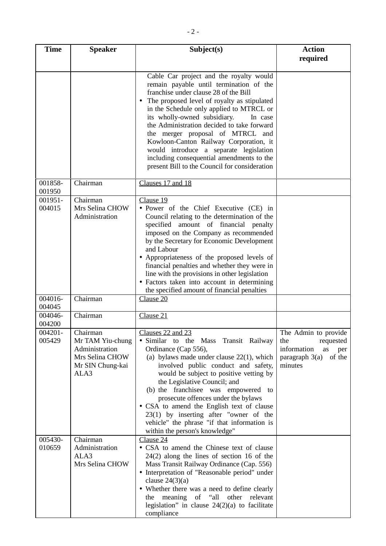| <b>Time</b>       | <b>Speaker</b>                                                                                | Subject(s)                                                                                                                                                                                                                                                                                                                                                                                                                                                                                                                            | <b>Action</b>                                                                                              |
|-------------------|-----------------------------------------------------------------------------------------------|---------------------------------------------------------------------------------------------------------------------------------------------------------------------------------------------------------------------------------------------------------------------------------------------------------------------------------------------------------------------------------------------------------------------------------------------------------------------------------------------------------------------------------------|------------------------------------------------------------------------------------------------------------|
|                   |                                                                                               | Cable Car project and the royalty would<br>remain payable until termination of the<br>franchise under clause 28 of the Bill<br>The proposed level of royalty as stipulated<br>in the Schedule only applied to MTRCL or<br>its wholly-owned subsidiary.<br>In case<br>the Administration decided to take forward<br>the merger proposal of MTRCL and<br>Kowloon-Canton Railway Corporation, it<br>would introduce a separate legislation<br>including consequential amendments to the<br>present Bill to the Council for consideration | required                                                                                                   |
| 001858-<br>001950 | Chairman                                                                                      | Clauses 17 and 18                                                                                                                                                                                                                                                                                                                                                                                                                                                                                                                     |                                                                                                            |
| 001951-<br>004015 | Chairman<br>Mrs Selina CHOW<br>Administration                                                 | Clause 19<br>· Power of the Chief Executive (CE) in<br>Council relating to the determination of the<br>specified amount of financial penalty<br>imposed on the Company as recommended<br>by the Secretary for Economic Development<br>and Labour<br>• Appropriateness of the proposed levels of<br>financial penalties and whether they were in<br>line with the provisions in other legislation<br>• Factors taken into account in determining<br>the specified amount of financial penalties                                        |                                                                                                            |
| 004016-<br>004045 | Chairman                                                                                      | Clause 20                                                                                                                                                                                                                                                                                                                                                                                                                                                                                                                             |                                                                                                            |
| 004046-<br>004200 | Chairman                                                                                      | Clause 21                                                                                                                                                                                                                                                                                                                                                                                                                                                                                                                             |                                                                                                            |
| 004201<br>005429  | Chairman<br>Mr TAM Yiu-chung<br>Administration<br>Mrs Selina CHOW<br>Mr SIN Chung-kai<br>ALA3 | Clauses 22 and 23<br>• Similar to the Mass Transit Railway<br>Ordinance (Cap 556),<br>(a) bylaws made under clause $22(1)$ , which<br>involved public conduct and safety,<br>would be subject to positive vetting by<br>the Legislative Council; and<br>(b) the franchise was empowered to<br>prosecute offences under the bylaws<br>• CSA to amend the English text of clause<br>$23(1)$ by inserting after "owner of the<br>vehicle" the phrase "if that information is<br>within the person's knowledge"                           | The Admin to provide<br>requested<br>the<br>information<br>as<br>per<br>paragraph $3(a)$ of the<br>minutes |
| 005430-<br>010659 | Chairman<br>Administration<br>ALA3<br>Mrs Selina CHOW                                         | Clause 24<br>• CSA to amend the Chinese text of clause<br>$24(2)$ along the lines of section 16 of the<br>Mass Transit Railway Ordinance (Cap. 556)<br>• Interpretation of "Reasonable period" under<br>clause $24(3)(a)$<br>• Whether there was a need to define clearly<br>the meaning of "all other relevant<br>legislation" in clause $24(2)(a)$ to facilitate<br>compliance                                                                                                                                                      |                                                                                                            |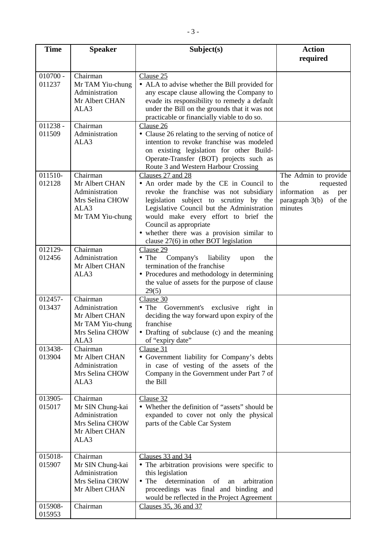| <b>Time</b>          | <b>Speaker</b>                                                                              | Subject(s)                                                                                                                                                                                                                                                                                                                                                 | <b>Action</b><br>required                                                                                   |
|----------------------|---------------------------------------------------------------------------------------------|------------------------------------------------------------------------------------------------------------------------------------------------------------------------------------------------------------------------------------------------------------------------------------------------------------------------------------------------------------|-------------------------------------------------------------------------------------------------------------|
|                      |                                                                                             |                                                                                                                                                                                                                                                                                                                                                            |                                                                                                             |
| $010700 -$<br>011237 | Chairman<br>Mr TAM Yiu-chung<br>Administration<br>Mr Albert CHAN<br>ALA3                    | Clause 25<br>• ALA to advise whether the Bill provided for<br>any escape clause allowing the Company to<br>evade its responsibility to remedy a default<br>under the Bill on the grounds that it was not<br>practicable or financially viable to do so.                                                                                                    |                                                                                                             |
| $011238 -$<br>011509 | Chairman<br>Administration<br>ALA3                                                          | Clause 26<br>• Clause 26 relating to the serving of notice of<br>intention to revoke franchise was modeled<br>on existing legislation for other Build-<br>Operate-Transfer (BOT) projects such as<br>Route 3 and Western Harbour Crossing                                                                                                                  |                                                                                                             |
| 011510-<br>012128    | Chairman<br>Mr Albert CHAN<br>Administration<br>Mrs Selina CHOW<br>ALA3<br>Mr TAM Yiu-chung | Clauses 27 and 28<br>• An order made by the CE in Council to<br>revoke the franchise was not subsidiary<br>legislation subject to scrutiny by the<br>Legislative Council but the Administration<br>would make every effort to brief the<br>Council as appropriate<br>• whether there was a provision similar to<br>clause $27(6)$ in other BOT legislation | The Admin to provide<br>the<br>requested<br>information<br>as<br>per<br>paragraph 3(b)<br>of the<br>minutes |
| 012129-<br>012456    | Chairman<br>Administration<br>Mr Albert CHAN<br>ALA3                                        | Clause 29<br>Company's<br>• The<br>liability<br>the<br>upon<br>termination of the franchise<br>• Procedures and methodology in determining<br>the value of assets for the purpose of clause<br>29(5)                                                                                                                                                       |                                                                                                             |
| 012457-<br>013437    | Chairman<br>Administration<br>Mr Albert CHAN<br>Mr TAM Yiu-chung<br>Mrs Selina CHOW<br>ALA3 | Clause 30<br>• The Government's exclusive right<br>in<br>deciding the way forward upon expiry of the<br>franchise<br>• Drafting of subclause (c) and the meaning<br>of "expiry date"                                                                                                                                                                       |                                                                                                             |
| 013438-<br>013904    | Chairman<br>Mr Albert CHAN<br>Administration<br>Mrs Selina CHOW<br>ALA3                     | Clause 31<br>• Government liability for Company's debts<br>in case of vesting of the assets of the<br>Company in the Government under Part 7 of<br>the Bill                                                                                                                                                                                                |                                                                                                             |
| 013905-<br>015017    | Chairman<br>Mr SIN Chung-kai<br>Administration<br>Mrs Selina CHOW<br>Mr Albert CHAN<br>ALA3 | Clause 32<br>• Whether the definition of "assets" should be<br>expanded to cover not only the physical<br>parts of the Cable Car System                                                                                                                                                                                                                    |                                                                                                             |
| 015018-<br>015907    | Chairman<br>Mr SIN Chung-kai<br>Administration<br>Mrs Selina CHOW<br>Mr Albert CHAN         | Clauses 33 and 34<br>• The arbitration provisions were specific to<br>this legislation<br>$\bullet$ The<br>determination<br>arbitration<br>of<br>an<br>proceedings was final and binding and<br>would be reflected in the Project Agreement                                                                                                                |                                                                                                             |
| 015908-<br>015953    | Chairman                                                                                    | Clauses 35, 36 and 37                                                                                                                                                                                                                                                                                                                                      |                                                                                                             |